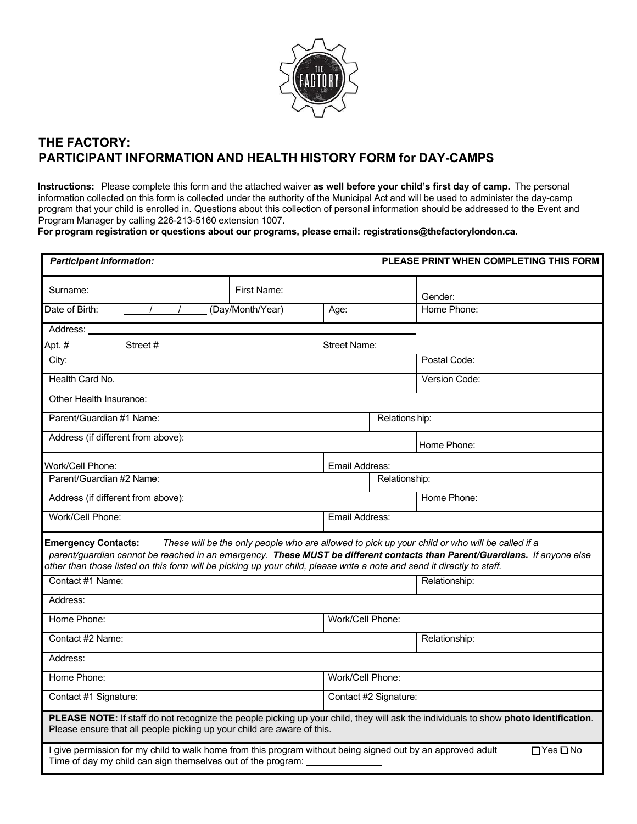

## **THE FACTORY: PARTICIPANT INFORMATION AND HEALTH HISTORY FORM for DAY-CAMPS**

**Instructions:** Please complete this form and the attached waiver **as well before your child's first day of camp.** The personal information collected on this form is collected under the authority of the Municipal Act and will be used to administer the day-camp program that your child is enrolled in. Questions about this collection of personal information should be addressed to the Event and Program Manager by calling 226-213-5160 extension 1007.

**For program registration or questions about our programs, please email: registrations@thefactorylondon.ca.**

| <b>Participant Information:</b>                                                                                                                                                                                                                                                   |                     |                       | PLEASE PRINT WHEN COMPLETING THIS FORM                                                         |  |
|-----------------------------------------------------------------------------------------------------------------------------------------------------------------------------------------------------------------------------------------------------------------------------------|---------------------|-----------------------|------------------------------------------------------------------------------------------------|--|
| First Name:<br>Surname:                                                                                                                                                                                                                                                           |                     |                       | Gender:                                                                                        |  |
| Date of Birth:<br>(Day/Month/Year)                                                                                                                                                                                                                                                | Age:                |                       | Home Phone:                                                                                    |  |
| Address:                                                                                                                                                                                                                                                                          |                     |                       |                                                                                                |  |
| Apt. #<br>Street#                                                                                                                                                                                                                                                                 | <b>Street Name:</b> |                       |                                                                                                |  |
| City:                                                                                                                                                                                                                                                                             |                     |                       | Postal Code:                                                                                   |  |
| Health Card No.                                                                                                                                                                                                                                                                   |                     |                       | <b>Version Code:</b>                                                                           |  |
| Other Health Insurance:                                                                                                                                                                                                                                                           |                     |                       |                                                                                                |  |
| Parent/Guardian #1 Name:                                                                                                                                                                                                                                                          |                     | Relations hip:        |                                                                                                |  |
| Address (if different from above):                                                                                                                                                                                                                                                |                     |                       | Home Phone:                                                                                    |  |
| Work/Cell Phone:<br>Email Address:                                                                                                                                                                                                                                                |                     |                       |                                                                                                |  |
| Parent/Guardian #2 Name:                                                                                                                                                                                                                                                          |                     | Relationship:         |                                                                                                |  |
| Address (if different from above):                                                                                                                                                                                                                                                |                     |                       | Home Phone:                                                                                    |  |
| Work/Cell Phone:                                                                                                                                                                                                                                                                  | Email Address:      |                       |                                                                                                |  |
| <b>Emergency Contacts:</b><br>parent/guardian cannot be reached in an emergency. These MUST be different contacts than Parent/Guardians. If anyone else<br>other than those listed on this form will be picking up your child, please write a note and send it directly to staff. |                     |                       | These will be the only people who are allowed to pick up your child or who will be called if a |  |
| Contact #1 Name:                                                                                                                                                                                                                                                                  |                     |                       | Relationship:                                                                                  |  |
| Address:                                                                                                                                                                                                                                                                          |                     |                       |                                                                                                |  |
| Home Phone:<br>Work/Cell Phone:                                                                                                                                                                                                                                                   |                     |                       |                                                                                                |  |
| Contact #2 Name:                                                                                                                                                                                                                                                                  |                     |                       | Relationship:                                                                                  |  |
| Address:                                                                                                                                                                                                                                                                          |                     |                       |                                                                                                |  |
| Home Phone:<br>Work/Cell Phone:                                                                                                                                                                                                                                                   |                     |                       |                                                                                                |  |
| Contact #1 Signature:                                                                                                                                                                                                                                                             |                     | Contact #2 Signature: |                                                                                                |  |
| PLEASE NOTE: If staff do not recognize the people picking up your child, they will ask the individuals to show photo identification.<br>Please ensure that all people picking up your child are aware of this.                                                                    |                     |                       |                                                                                                |  |
| I give permission for my child to walk home from this program without being signed out by an approved adult<br>Time of day my child can sign themselves out of the program:                                                                                                       |                     |                       | □Yes□No                                                                                        |  |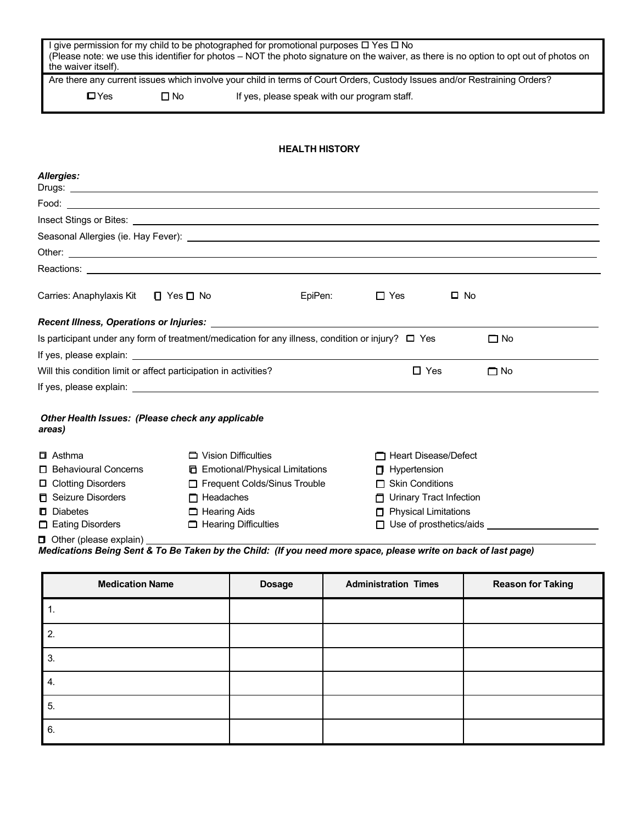| the waiver itself).                                              |                      |                                          | (Please note: we use this identifier for photos - NOT the photo signature on the waiver, as there is no option to opt out of photos on<br>Are there any current issues which involve your child in terms of Court Orders, Custody Issues and/or Restraining Orders? |                          |
|------------------------------------------------------------------|----------------------|------------------------------------------|---------------------------------------------------------------------------------------------------------------------------------------------------------------------------------------------------------------------------------------------------------------------|--------------------------|
| $\square$ Yes                                                    | $\square$ No         |                                          | If yes, please speak with our program staff.                                                                                                                                                                                                                        |                          |
|                                                                  |                      |                                          |                                                                                                                                                                                                                                                                     |                          |
|                                                                  |                      | <b>HEALTH HISTORY</b>                    |                                                                                                                                                                                                                                                                     |                          |
| <b>Allergies:</b>                                                |                      |                                          |                                                                                                                                                                                                                                                                     |                          |
|                                                                  |                      |                                          |                                                                                                                                                                                                                                                                     |                          |
|                                                                  |                      |                                          | Insect Stings or Bites: <u>example and the set of the set of the set of the set of the set of the set of the set of the set of the set of the set of the set of the set of the set of the set of the set of the set of the set o</u>                                |                          |
|                                                                  |                      |                                          |                                                                                                                                                                                                                                                                     |                          |
|                                                                  |                      |                                          | Other: <u>the contract of the contract of the contract of the contract of the contract of the contract of the contract of the contract of the contract of the contract of the contract of the contract of the contract of the co</u>                                |                          |
|                                                                  |                      |                                          |                                                                                                                                                                                                                                                                     |                          |
| Carries: Anaphylaxis Kit                                         | $\Box$ Yes $\Box$ No | EpiPen:                                  | $\Box$ Yes                                                                                                                                                                                                                                                          | $\square$ No             |
| Recent Illness, Operations or Injuries: ___________              |                      |                                          |                                                                                                                                                                                                                                                                     |                          |
|                                                                  |                      |                                          | Is participant under any form of treatment/medication for any illness, condition or injury? $\Box$ Yes                                                                                                                                                              | $\Box$ No                |
|                                                                  |                      |                                          |                                                                                                                                                                                                                                                                     |                          |
| Will this condition limit or affect participation in activities? |                      |                                          | $\Box$ Yes                                                                                                                                                                                                                                                          | $\Box$ No                |
|                                                                  |                      |                                          |                                                                                                                                                                                                                                                                     |                          |
| Other Health Issues: (Please check any applicable<br>areas)      |                      |                                          |                                                                                                                                                                                                                                                                     |                          |
| □ Asthma                                                         |                      | Vision Difficulties                      | □ Heart Disease/Defect                                                                                                                                                                                                                                              |                          |
| □ Behavioural Concerns                                           |                      | <b>ID</b> Emotional/Physical Limitations | $\Box$ Hypertension                                                                                                                                                                                                                                                 |                          |
| □ Clotting Disorders                                             |                      | Frequent Colds/Sinus Trouble             | $\Box$ Skin Conditions                                                                                                                                                                                                                                              |                          |
| <b>D</b> Seizure Disorders                                       |                      | $\Box$ Headaches                         | Urinary Tract Infection                                                                                                                                                                                                                                             |                          |
| D Diabetes                                                       |                      | Hearing Aids                             | <b>F</b> Physical Limitations                                                                                                                                                                                                                                       |                          |
| Eating Disorders                                                 |                      | $\Box$ Hearing Difficulties              | $\Box$ Use of prosthetics/aids                                                                                                                                                                                                                                      |                          |
| Other (please explain)                                           |                      |                                          | Medications Being Sent & To Be Taken by the Child: (If you need more space, please write on back of last page)                                                                                                                                                      |                          |
| <b>Medication Name</b>                                           |                      | <b>Dosage</b>                            | <b>Administration Times</b>                                                                                                                                                                                                                                         | <b>Reason for Taking</b> |
| 1.                                                               |                      |                                          |                                                                                                                                                                                                                                                                     |                          |
|                                                                  |                      |                                          |                                                                                                                                                                                                                                                                     |                          |
|                                                                  |                      |                                          |                                                                                                                                                                                                                                                                     |                          |

| ັ. |  |  |
|----|--|--|
| 4. |  |  |
| 5. |  |  |
| 6. |  |  |